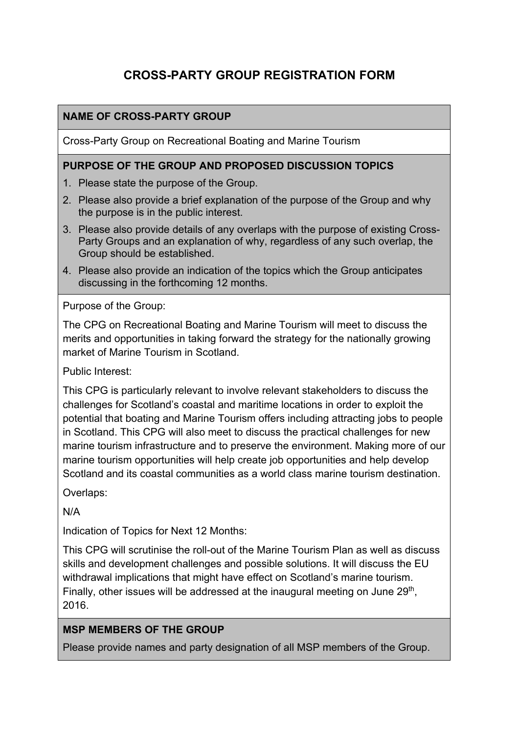# **CROSS-PARTY GROUP REGISTRATION FORM**

## **NAME OF CROSS-PARTY GROUP**

Cross-Party Group on Recreational Boating and Marine Tourism

#### **PURPOSE OF THE GROUP AND PROPOSED DISCUSSION TOPICS**

- 1. Please state the purpose of the Group.
- 2. Please also provide a brief explanation of the purpose of the Group and why the purpose is in the public interest.
- 3. Please also provide details of any overlaps with the purpose of existing Cross-Party Groups and an explanation of why, regardless of any such overlap, the Group should be established.
- 4. Please also provide an indication of the topics which the Group anticipates discussing in the forthcoming 12 months.

Purpose of the Group:

The CPG on Recreational Boating and Marine Tourism will meet to discuss the merits and opportunities in taking forward the strategy for the nationally growing market of Marine Tourism in Scotland.

Public Interest:

This CPG is particularly relevant to involve relevant stakeholders to discuss the challenges for Scotland's coastal and maritime locations in order to exploit the potential that boating and Marine Tourism offers including attracting jobs to people in Scotland. This CPG will also meet to discuss the practical challenges for new marine tourism infrastructure and to preserve the environment. Making more of our marine tourism opportunities will help create job opportunities and help develop Scotland and its coastal communities as a world class marine tourism destination.

Overlaps:

N/A

Indication of Topics for Next 12 Months:

This CPG will scrutinise the roll-out of the Marine Tourism Plan as well as discuss skills and development challenges and possible solutions. It will discuss the EU withdrawal implications that might have effect on Scotland's marine tourism. Finally, other issues will be addressed at the inaugural meeting on June 29<sup>th</sup>. 2016.

#### **MSP MEMBERS OF THE GROUP**

Please provide names and party designation of all MSP members of the Group.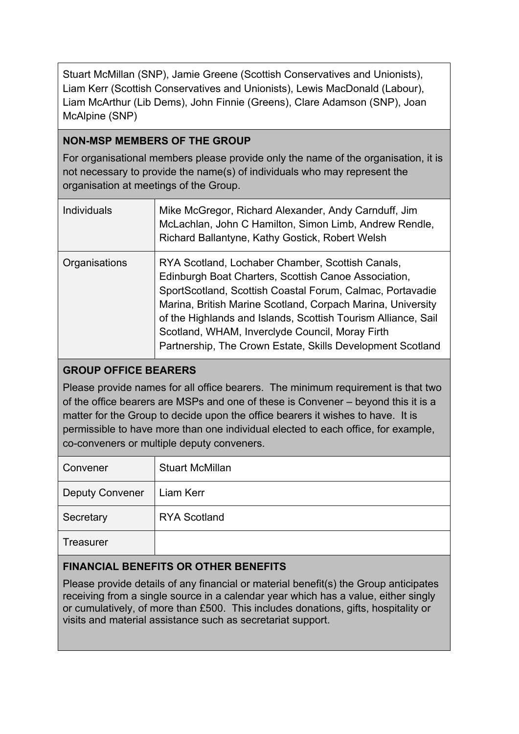Stuart McMillan (SNP), Jamie Greene (Scottish Conservatives and Unionists), Liam Kerr (Scottish Conservatives and Unionists), Lewis MacDonald (Labour), Liam McArthur (Lib Dems), John Finnie (Greens), Clare Adamson (SNP), Joan McAlpine (SNP)

## **NON-MSP MEMBERS OF THE GROUP**

For organisational members please provide only the name of the organisation, it is not necessary to provide the name(s) of individuals who may represent the organisation at meetings of the Group.

| <b>Individuals</b> | Mike McGregor, Richard Alexander, Andy Carnduff, Jim<br>McLachlan, John C Hamilton, Simon Limb, Andrew Rendle,<br>Richard Ballantyne, Kathy Gostick, Robert Welsh                                                                                                                                                                                                                                                      |
|--------------------|------------------------------------------------------------------------------------------------------------------------------------------------------------------------------------------------------------------------------------------------------------------------------------------------------------------------------------------------------------------------------------------------------------------------|
| Organisations      | RYA Scotland, Lochaber Chamber, Scottish Canals,<br>Edinburgh Boat Charters, Scottish Canoe Association,<br>SportScotland, Scottish Coastal Forum, Calmac, Portavadie<br>Marina, British Marine Scotland, Corpach Marina, University<br>of the Highlands and Islands, Scottish Tourism Alliance, Sail<br>Scotland, WHAM, Inverclyde Council, Moray Firth<br>Partnership, The Crown Estate, Skills Development Scotland |

## **GROUP OFFICE BEARERS**

Please provide names for all office bearers. The minimum requirement is that two of the office bearers are MSPs and one of these is Convener – beyond this it is a matter for the Group to decide upon the office bearers it wishes to have. It is permissible to have more than one individual elected to each office, for example, co-conveners or multiple deputy conveners.

| Convener               | <b>Stuart McMillan</b> |
|------------------------|------------------------|
| <b>Deputy Convener</b> | Liam Kerr              |
| Secretary              | <b>RYA Scotland</b>    |
| <b>Treasurer</b>       |                        |

### **FINANCIAL BENEFITS OR OTHER BENEFITS**

Please provide details of any financial or material benefit(s) the Group anticipates receiving from a single source in a calendar year which has a value, either singly or cumulatively, of more than £500. This includes donations, gifts, hospitality or visits and material assistance such as secretariat support.